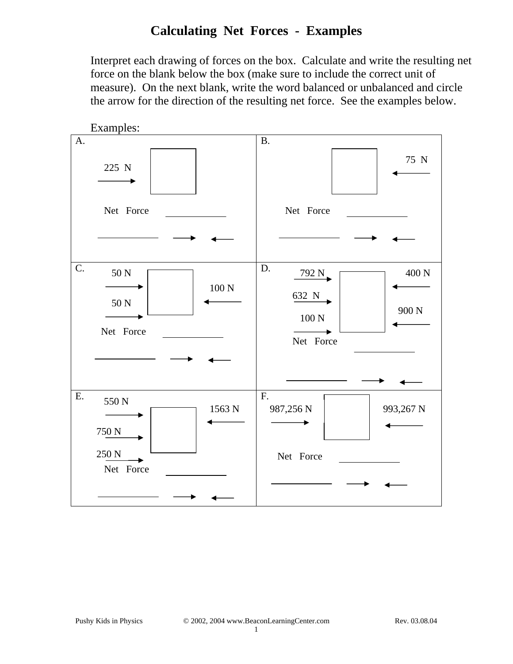# **Calculating Net Forces - Examples**

Interpret each drawing of forces on the box. Calculate and write the resulting net force on the blank below the box (make sure to include the correct unit of measure). On the next blank, write the word balanced or unbalanced and circle the arrow for the direction of the resulting net force. See the examples below.

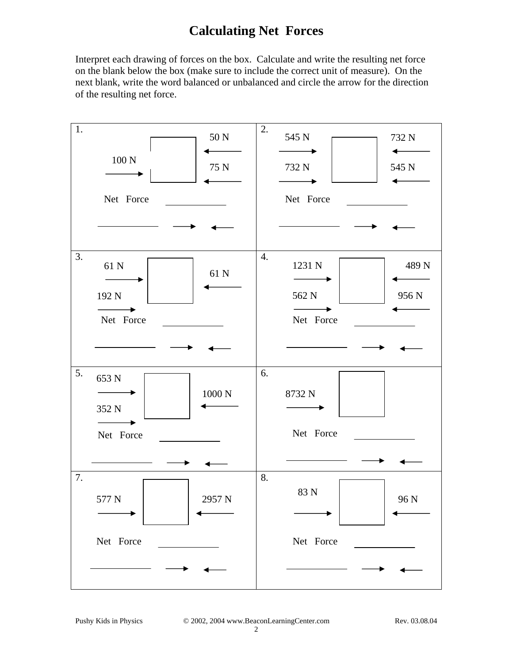## **Calculating Net Forces**

Interpret each drawing of forces on the box. Calculate and write the resulting net force on the blank below the box (make sure to include the correct unit of measure). On the next blank, write the word balanced or unbalanced and circle the arrow for the direction of the resulting net force.